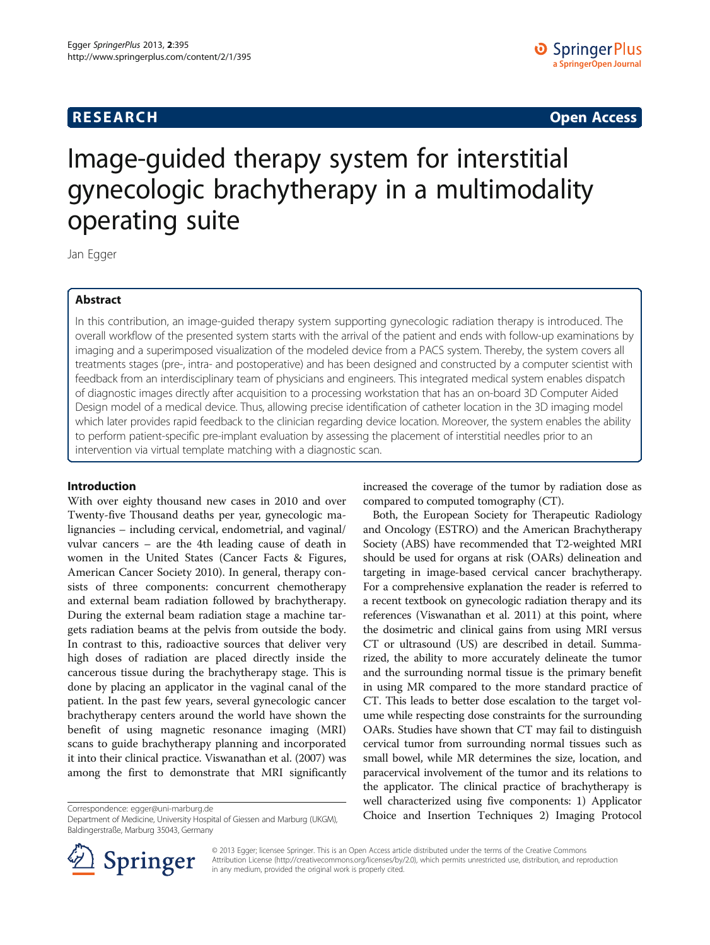## **RESEARCH RESEARCH CONSUMING ACCESS**

# Image-guided therapy system for interstitial gynecologic brachytherapy in a multimodality operating suite

Jan Egger

## Abstract

In this contribution, an image-guided therapy system supporting gynecologic radiation therapy is introduced. The overall workflow of the presented system starts with the arrival of the patient and ends with follow-up examinations by imaging and a superimposed visualization of the modeled device from a PACS system. Thereby, the system covers all treatments stages (pre-, intra- and postoperative) and has been designed and constructed by a computer scientist with feedback from an interdisciplinary team of physicians and engineers. This integrated medical system enables dispatch of diagnostic images directly after acquisition to a processing workstation that has an on-board 3D Computer Aided Design model of a medical device. Thus, allowing precise identification of catheter location in the 3D imaging model which later provides rapid feedback to the clinician regarding device location. Moreover, the system enables the ability to perform patient-specific pre-implant evaluation by assessing the placement of interstitial needles prior to an intervention via virtual template matching with a diagnostic scan.

## Introduction

With over eighty thousand new cases in 2010 and over Twenty-five Thousand deaths per year, gynecologic malignancies – including cervical, endometrial, and vaginal/ vulvar cancers – are the 4th leading cause of death in women in the United States (Cancer Facts & Figures, American Cancer Society [2010](#page-6-0)). In general, therapy consists of three components: concurrent chemotherapy and external beam radiation followed by brachytherapy. During the external beam radiation stage a machine targets radiation beams at the pelvis from outside the body. In contrast to this, radioactive sources that deliver very high doses of radiation are placed directly inside the cancerous tissue during the brachytherapy stage. This is done by placing an applicator in the vaginal canal of the patient. In the past few years, several gynecologic cancer brachytherapy centers around the world have shown the benefit of using magnetic resonance imaging (MRI) scans to guide brachytherapy planning and incorporated it into their clinical practice. Viswanathan et al. ([2007\)](#page-6-0) was among the first to demonstrate that MRI significantly

Department of Medicine, University Hospital of Giessen and Marburg (UKGM), Baldingerstraße, Marburg 35043, Germany

increased the coverage of the tumor by radiation dose as compared to computed tomography (CT).

Both, the European Society for Therapeutic Radiology and Oncology (ESTRO) and the American Brachytherapy Society (ABS) have recommended that T2-weighted MRI should be used for organs at risk (OARs) delineation and targeting in image-based cervical cancer brachytherapy. For a comprehensive explanation the reader is referred to a recent textbook on gynecologic radiation therapy and its references (Viswanathan et al. [2011\)](#page-6-0) at this point, where the dosimetric and clinical gains from using MRI versus CT or ultrasound (US) are described in detail. Summarized, the ability to more accurately delineate the tumor and the surrounding normal tissue is the primary benefit in using MR compared to the more standard practice of CT. This leads to better dose escalation to the target volume while respecting dose constraints for the surrounding OARs. Studies have shown that CT may fail to distinguish cervical tumor from surrounding normal tissues such as small bowel, while MR determines the size, location, and paracervical involvement of the tumor and its relations to the applicator. The clinical practice of brachytherapy is well characterized using five components: 1) Applicator Correspondence: [egger@uni-marburg.de](mailto:egger@uni-marburg.de)<br>Department of Medicine University Hospital of Giessen and Marburg (UKGM) **Choice and Insertion Techniques 2) Imaging Protocol** 



© 2013 Egger; licensee Springer. This is an Open Access article distributed under the terms of the Creative Commons Attribution License [\(http://creativecommons.org/licenses/by/2.0\)](http://creativecommons.org/licenses/by/2.0), which permits unrestricted use, distribution, and reproduction in any medium, provided the original work is properly cited.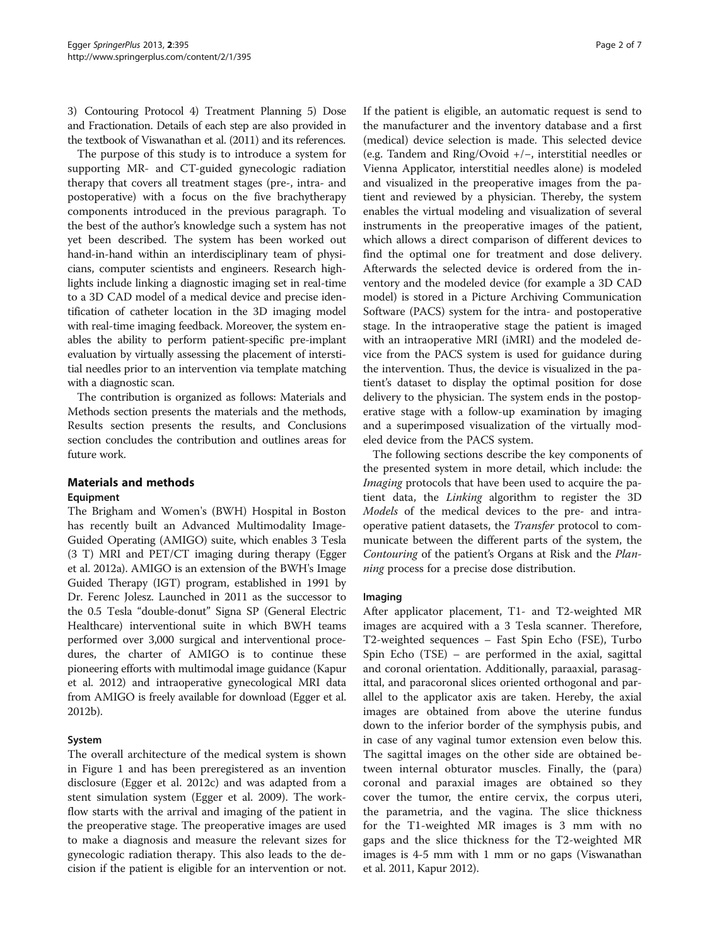3) Contouring Protocol 4) Treatment Planning 5) Dose and Fractionation. Details of each step are also provided in the textbook of Viswanathan et al. [\(2011](#page-6-0)) and its references.

The purpose of this study is to introduce a system for supporting MR- and CT-guided gynecologic radiation therapy that covers all treatment stages (pre-, intra- and postoperative) with a focus on the five brachytherapy components introduced in the previous paragraph. To the best of the author's knowledge such a system has not yet been described. The system has been worked out hand-in-hand within an interdisciplinary team of physicians, computer scientists and engineers. Research highlights include linking a diagnostic imaging set in real-time to a 3D CAD model of a medical device and precise identification of catheter location in the 3D imaging model with real-time imaging feedback. Moreover, the system enables the ability to perform patient-specific pre-implant evaluation by virtually assessing the placement of interstitial needles prior to an intervention via template matching with a diagnostic scan.

The contribution is organized as follows: Materials and Methods section presents the materials and the methods, [Results](#page-4-0) section presents the results, and [Conclusions](#page-5-0) section concludes the contribution and outlines areas for future work.

## Materials and methods

#### Equipment

The Brigham and Women's (BWH) Hospital in Boston has recently built an Advanced Multimodality Image-Guided Operating (AMIGO) suite, which enables 3 Tesla (3 T) MRI and PET/CT imaging during therapy (Egger et al. [2012a\)](#page-6-0). AMIGO is an extension of the BWH's Image Guided Therapy (IGT) program, established in 1991 by Dr. Ferenc Jolesz. Launched in 2011 as the successor to the 0.5 Tesla "double-donut" Signa SP (General Electric Healthcare) interventional suite in which BWH teams performed over 3,000 surgical and interventional procedures, the charter of AMIGO is to continue these pioneering efforts with multimodal image guidance (Kapur et al. [2012\)](#page-6-0) and intraoperative gynecological MRI data from AMIGO is freely available for download (Egger et al. [2012b\)](#page-6-0).

### System

The overall architecture of the medical system is shown in Figure [1](#page-2-0) and has been preregistered as an invention disclosure (Egger et al. [2012c\)](#page-6-0) and was adapted from a stent simulation system (Egger et al. [2009](#page-6-0)). The workflow starts with the arrival and imaging of the patient in the preoperative stage. The preoperative images are used to make a diagnosis and measure the relevant sizes for gynecologic radiation therapy. This also leads to the decision if the patient is eligible for an intervention or not. If the patient is eligible, an automatic request is send to the manufacturer and the inventory database and a first (medical) device selection is made. This selected device (e.g. Tandem and Ring/Ovoid +/−, interstitial needles or Vienna Applicator, interstitial needles alone) is modeled and visualized in the preoperative images from the patient and reviewed by a physician. Thereby, the system enables the virtual modeling and visualization of several instruments in the preoperative images of the patient, which allows a direct comparison of different devices to find the optimal one for treatment and dose delivery. Afterwards the selected device is ordered from the inventory and the modeled device (for example a 3D CAD model) is stored in a Picture Archiving Communication Software (PACS) system for the intra- and postoperative stage. In the intraoperative stage the patient is imaged with an intraoperative MRI (iMRI) and the modeled device from the PACS system is used for guidance during the intervention. Thus, the device is visualized in the patient's dataset to display the optimal position for dose delivery to the physician. The system ends in the postoperative stage with a follow-up examination by imaging and a superimposed visualization of the virtually modeled device from the PACS system.

The following sections describe the key components of the presented system in more detail, which include: the Imaging protocols that have been used to acquire the patient data, the Linking algorithm to register the 3D Models of the medical devices to the pre- and intraoperative patient datasets, the Transfer protocol to communicate between the different parts of the system, the Contouring of the patient's Organs at Risk and the Planning process for a precise dose distribution.

#### Imaging

After applicator placement, T1- and T2-weighted MR images are acquired with a 3 Tesla scanner. Therefore, T2-weighted sequences – Fast Spin Echo (FSE), Turbo Spin Echo (TSE) – are performed in the axial, sagittal and coronal orientation. Additionally, paraaxial, parasagittal, and paracoronal slices oriented orthogonal and parallel to the applicator axis are taken. Hereby, the axial images are obtained from above the uterine fundus down to the inferior border of the symphysis pubis, and in case of any vaginal tumor extension even below this. The sagittal images on the other side are obtained between internal obturator muscles. Finally, the (para) coronal and paraxial images are obtained so they cover the tumor, the entire cervix, the corpus uteri, the parametria, and the vagina. The slice thickness for the T1-weighted MR images is 3 mm with no gaps and the slice thickness for the T2-weighted MR images is 4-5 mm with 1 mm or no gaps (Viswanathan et al. [2011](#page-6-0), Kapur [2012\)](#page-6-0).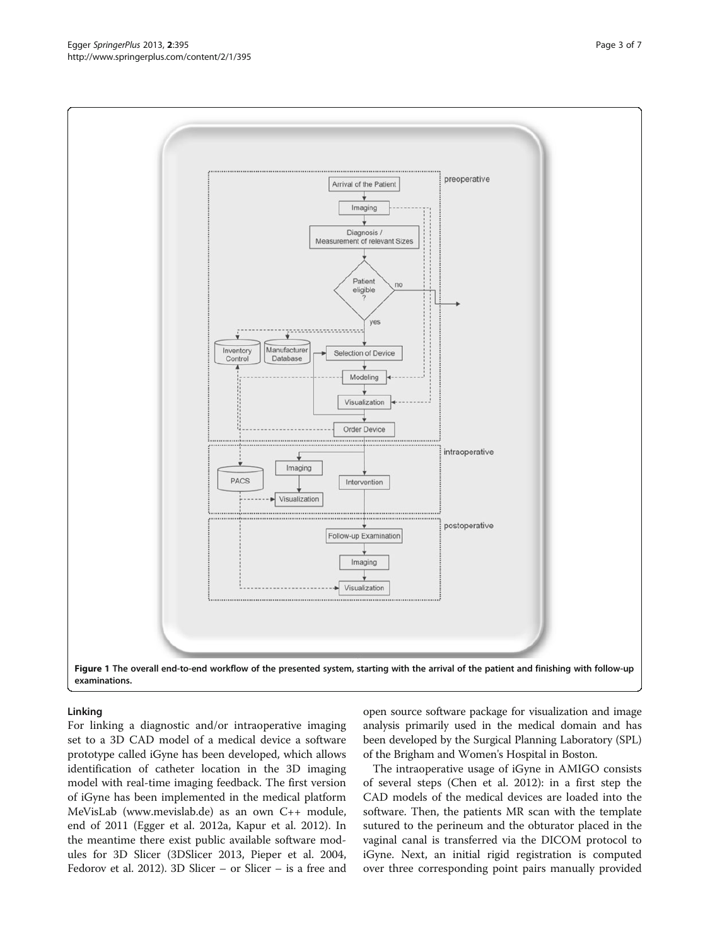For linking a diagnostic and/or intraoperative imaging set to a 3D CAD model of a medical device a software prototype called iGyne has been developed, which allows identification of catheter location in the 3D imaging model with real-time imaging feedback. The first version of iGyne has been implemented in the medical platform MeVisLab [\(www.mevislab.de](http://www.mevislab.de)) as an own C++ module, end of 2011 (Egger et al. [2012a,](#page-6-0) Kapur et al. [2012](#page-6-0)). In the meantime there exist public available software modules for 3D Slicer (3DSlicer [2013](#page-6-0), Pieper et al. [2004](#page-6-0), Fedorov et al. [2012\)](#page-6-0). 3D Slicer – or Slicer – is a free and

Linking

open source software package for visualization and image analysis primarily used in the medical domain and has been developed by the Surgical Planning Laboratory (SPL) of the Brigham and Women's Hospital in Boston.

The intraoperative usage of iGyne in AMIGO consists of several steps (Chen et al. [2012](#page-6-0)): in a first step the CAD models of the medical devices are loaded into the software. Then, the patients MR scan with the template sutured to the perineum and the obturator placed in the vaginal canal is transferred via the DICOM protocol to iGyne. Next, an initial rigid registration is computed over three corresponding point pairs manually provided

<span id="page-2-0"></span>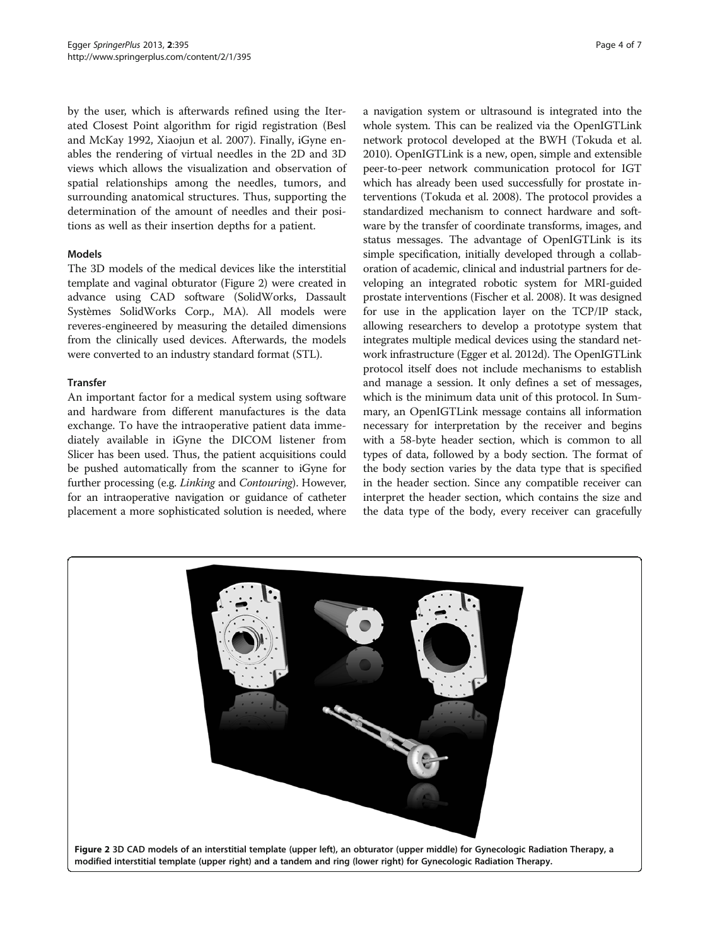by the user, which is afterwards refined using the Iterated Closest Point algorithm for rigid registration (Besl and McKay [1992](#page-6-0), Xiaojun et al. [2007](#page-6-0)). Finally, iGyne enables the rendering of virtual needles in the 2D and 3D views which allows the visualization and observation of spatial relationships among the needles, tumors, and surrounding anatomical structures. Thus, supporting the determination of the amount of needles and their positions as well as their insertion depths for a patient.

#### Models

The 3D models of the medical devices like the interstitial template and vaginal obturator (Figure 2) were created in advance using CAD software (SolidWorks, Dassault Systèmes SolidWorks Corp., MA). All models were reveres-engineered by measuring the detailed dimensions from the clinically used devices. Afterwards, the models were converted to an industry standard format (STL).

#### **Transfer**

An important factor for a medical system using software and hardware from different manufactures is the data exchange. To have the intraoperative patient data immediately available in iGyne the DICOM listener from Slicer has been used. Thus, the patient acquisitions could be pushed automatically from the scanner to iGyne for further processing (e.g. Linking and Contouring). However, for an intraoperative navigation or guidance of catheter placement a more sophisticated solution is needed, where

a navigation system or ultrasound is integrated into the whole system. This can be realized via the OpenIGTLink network protocol developed at the BWH (Tokuda et al. [2010](#page-6-0)). OpenIGTLink is a new, open, simple and extensible peer-to-peer network communication protocol for IGT which has already been used successfully for prostate interventions (Tokuda et al. [2008\)](#page-6-0). The protocol provides a standardized mechanism to connect hardware and software by the transfer of coordinate transforms, images, and status messages. The advantage of OpenIGTLink is its simple specification, initially developed through a collaboration of academic, clinical and industrial partners for developing an integrated robotic system for MRI-guided prostate interventions (Fischer et al. [2008\)](#page-6-0). It was designed for use in the application layer on the TCP/IP stack, allowing researchers to develop a prototype system that integrates multiple medical devices using the standard network infrastructure (Egger et al. [2012d](#page-6-0)). The OpenIGTLink protocol itself does not include mechanisms to establish and manage a session. It only defines a set of messages, which is the minimum data unit of this protocol. In Summary, an OpenIGTLink message contains all information necessary for interpretation by the receiver and begins with a 58-byte header section, which is common to all types of data, followed by a body section. The format of the body section varies by the data type that is specified in the header section. Since any compatible receiver can interpret the header section, which contains the size and the data type of the body, every receiver can gracefully

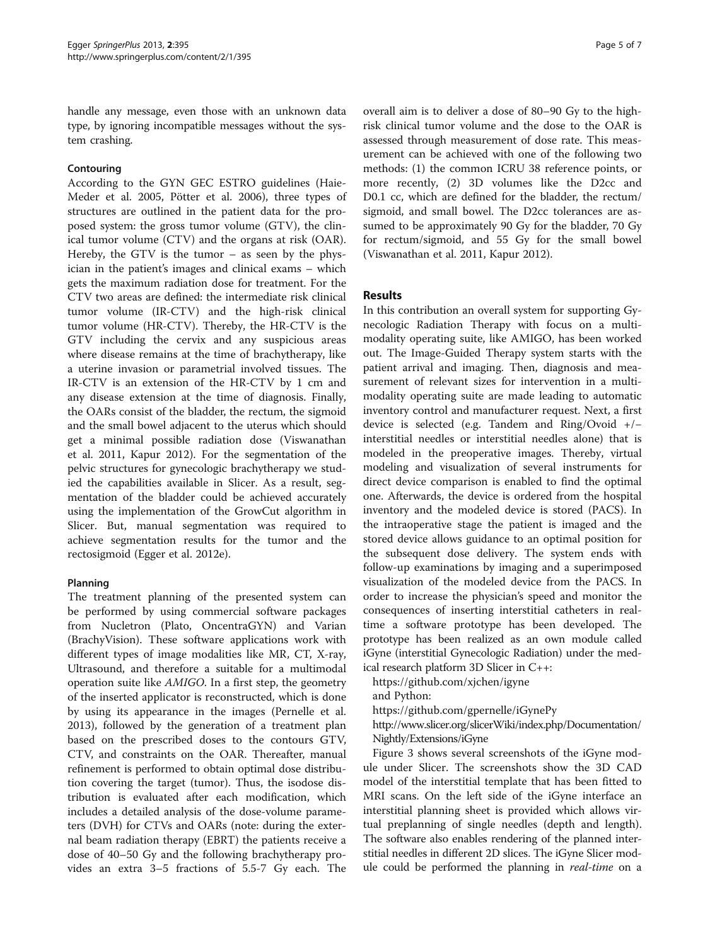<span id="page-4-0"></span>handle any message, even those with an unknown data type, by ignoring incompatible messages without the system crashing.

## Contouring

According to the GYN GEC ESTRO guidelines (Haie-Meder et al. [2005](#page-6-0), Pötter et al. [2006\)](#page-6-0), three types of structures are outlined in the patient data for the proposed system: the gross tumor volume (GTV), the clinical tumor volume (CTV) and the organs at risk (OAR). Hereby, the GTV is the tumor – as seen by the physician in the patient's images and clinical exams – which gets the maximum radiation dose for treatment. For the CTV two areas are defined: the intermediate risk clinical tumor volume (IR-CTV) and the high-risk clinical tumor volume (HR-CTV). Thereby, the HR-CTV is the GTV including the cervix and any suspicious areas where disease remains at the time of brachytherapy, like a uterine invasion or parametrial involved tissues. The IR-CTV is an extension of the HR-CTV by 1 cm and any disease extension at the time of diagnosis. Finally, the OARs consist of the bladder, the rectum, the sigmoid and the small bowel adjacent to the uterus which should get a minimal possible radiation dose (Viswanathan et al. [2011,](#page-6-0) Kapur [2012](#page-6-0)). For the segmentation of the pelvic structures for gynecologic brachytherapy we studied the capabilities available in Slicer. As a result, segmentation of the bladder could be achieved accurately using the implementation of the GrowCut algorithm in Slicer. But, manual segmentation was required to achieve segmentation results for the tumor and the rectosigmoid (Egger et al. [2012e](#page-6-0)).

### Planning

The treatment planning of the presented system can be performed by using commercial software packages from Nucletron (Plato, OncentraGYN) and Varian (BrachyVision). These software applications work with different types of image modalities like MR, CT, X-ray, Ultrasound, and therefore a suitable for a multimodal operation suite like AMIGO. In a first step, the geometry of the inserted applicator is reconstructed, which is done by using its appearance in the images (Pernelle et al. [2013](#page-6-0)), followed by the generation of a treatment plan based on the prescribed doses to the contours GTV, CTV, and constraints on the OAR. Thereafter, manual refinement is performed to obtain optimal dose distribution covering the target (tumor). Thus, the isodose distribution is evaluated after each modification, which includes a detailed analysis of the dose-volume parameters (DVH) for CTVs and OARs (note: during the external beam radiation therapy (EBRT) the patients receive a dose of 40–50 Gy and the following brachytherapy provides an extra 3–5 fractions of 5.5-7 Gy each. The

overall aim is to deliver a dose of 80–90 Gy to the highrisk clinical tumor volume and the dose to the OAR is assessed through measurement of dose rate. This measurement can be achieved with one of the following two methods: (1) the common ICRU 38 reference points, or more recently, (2) 3D volumes like the D2cc and D0.1 cc, which are defined for the bladder, the rectum/ sigmoid, and small bowel. The D2cc tolerances are assumed to be approximately 90 Gy for the bladder, 70 Gy for rectum/sigmoid, and 55 Gy for the small bowel (Viswanathan et al. [2011,](#page-6-0) Kapur [2012](#page-6-0)).

## Results

In this contribution an overall system for supporting Gynecologic Radiation Therapy with focus on a multimodality operating suite, like AMIGO, has been worked out. The Image-Guided Therapy system starts with the patient arrival and imaging. Then, diagnosis and measurement of relevant sizes for intervention in a multimodality operating suite are made leading to automatic inventory control and manufacturer request. Next, a first device is selected (e.g. Tandem and Ring/Ovoid +/− interstitial needles or interstitial needles alone) that is modeled in the preoperative images. Thereby, virtual modeling and visualization of several instruments for direct device comparison is enabled to find the optimal one. Afterwards, the device is ordered from the hospital inventory and the modeled device is stored (PACS). In the intraoperative stage the patient is imaged and the stored device allows guidance to an optimal position for the subsequent dose delivery. The system ends with follow-up examinations by imaging and a superimposed visualization of the modeled device from the PACS. In order to increase the physician's speed and monitor the consequences of inserting interstitial catheters in realtime a software prototype has been developed. The prototype has been realized as an own module called iGyne (interstitial Gynecologic Radiation) under the medical research platform 3D Slicer in C++:

<https://github.com/xjchen/igyne>

and Python:

<https://github.com/gpernelle/iGynePy>

[http://www.slicer.org/slicerWiki/index.php/Documentation/](http://www.slicer.org/slicerWiki/index.php/Documentation/Nightly/Extensions/iGyne) [Nightly/Extensions/iGyne](http://www.slicer.org/slicerWiki/index.php/Documentation/Nightly/Extensions/iGyne)

Figure [3](#page-5-0) shows several screenshots of the iGyne module under Slicer. The screenshots show the 3D CAD model of the interstitial template that has been fitted to MRI scans. On the left side of the iGyne interface an interstitial planning sheet is provided which allows virtual preplanning of single needles (depth and length). The software also enables rendering of the planned interstitial needles in different 2D slices. The iGyne Slicer module could be performed the planning in real-time on a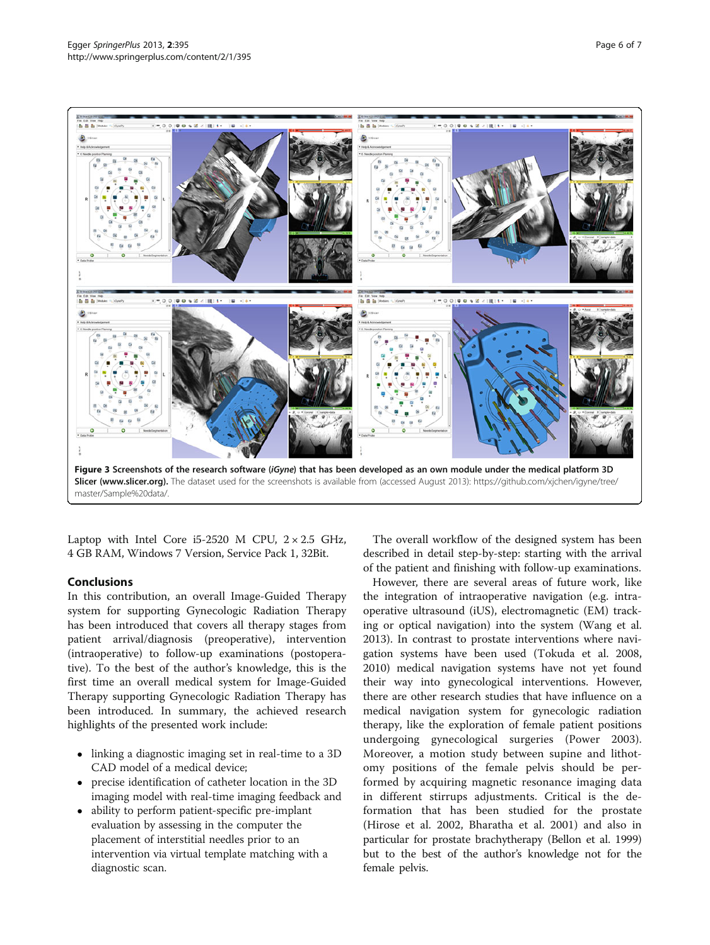<span id="page-5-0"></span>

Laptop with Intel Core i5-2520 M CPU,  $2 \times 2.5$  GHz, 4 GB RAM, Windows 7 Version, Service Pack 1, 32Bit.

### Conclusions

In this contribution, an overall Image-Guided Therapy system for supporting Gynecologic Radiation Therapy has been introduced that covers all therapy stages from patient arrival/diagnosis (preoperative), intervention (intraoperative) to follow-up examinations (postoperative). To the best of the author's knowledge, this is the first time an overall medical system for Image-Guided Therapy supporting Gynecologic Radiation Therapy has been introduced. In summary, the achieved research highlights of the presented work include:

- linking a diagnostic imaging set in real-time to a 3D CAD model of a medical device;
- precise identification of catheter location in the 3D imaging model with real-time imaging feedback and
- ability to perform patient-specific pre-implant evaluation by assessing in the computer the placement of interstitial needles prior to an intervention via virtual template matching with a diagnostic scan.

The overall workflow of the designed system has been described in detail step-by-step: starting with the arrival of the patient and finishing with follow-up examinations.

However, there are several areas of future work, like the integration of intraoperative navigation (e.g. intraoperative ultrasound (iUS), electromagnetic (EM) tracking or optical navigation) into the system (Wang et al. [2013](#page-6-0)). In contrast to prostate interventions where navigation systems have been used (Tokuda et al. [2008](#page-6-0), [2010](#page-6-0)) medical navigation systems have not yet found their way into gynecological interventions. However, there are other research studies that have influence on a medical navigation system for gynecologic radiation therapy, like the exploration of female patient positions undergoing gynecological surgeries (Power [2003](#page-6-0)). Moreover, a motion study between supine and lithotomy positions of the female pelvis should be performed by acquiring magnetic resonance imaging data in different stirrups adjustments. Critical is the deformation that has been studied for the prostate (Hirose et al. [2002,](#page-6-0) Bharatha et al. [2001\)](#page-6-0) and also in particular for prostate brachytherapy (Bellon et al. [1999](#page-6-0)) but to the best of the author's knowledge not for the female pelvis.